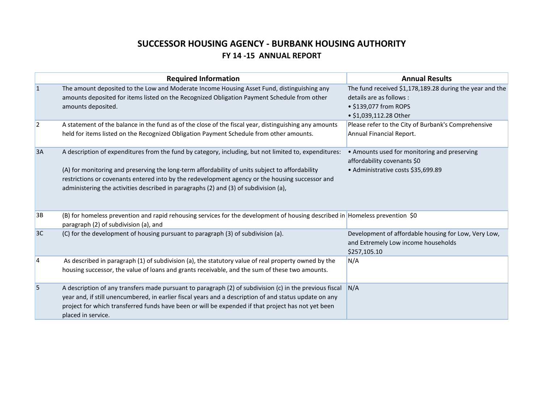# **SUCCESSOR HOUSING AGENCY - BURBANK HOUSING AUTHORITY FY 14 -15 ANNUAL REPORT**

|    | <b>Required Information</b>                                                                                                                                                                                                                                                                                                                                                                         | <b>Annual Results</b>                                                                                                                   |
|----|-----------------------------------------------------------------------------------------------------------------------------------------------------------------------------------------------------------------------------------------------------------------------------------------------------------------------------------------------------------------------------------------------------|-----------------------------------------------------------------------------------------------------------------------------------------|
| 1  | The amount deposited to the Low and Moderate Income Housing Asset Fund, distinguishing any<br>amounts deposited for items listed on the Recognized Obligation Payment Schedule from other<br>amounts deposited.                                                                                                                                                                                     | The fund received \$1,178,189.28 during the year and the<br>details are as follows :<br>• \$139,077 from ROPS<br>• \$1,039,112.28 Other |
| 2  | A statement of the balance in the fund as of the close of the fiscal year, distinguishing any amounts<br>held for items listed on the Recognized Obligation Payment Schedule from other amounts.                                                                                                                                                                                                    | Please refer to the City of Burbank's Comprehensive<br>Annual Financial Report.                                                         |
| 3A | A description of expenditures from the fund by category, including, but not limited to, expenditures:<br>(A) for monitoring and preserving the long-term affordability of units subject to affordability<br>restrictions or covenants entered into by the redevelopment agency or the housing successor and<br>administering the activities described in paragraphs (2) and (3) of subdivision (a), | • Amounts used for monitoring and preserving<br>affordability covenants \$0<br>• Administrative costs \$35,699.89                       |
| 3B | (B) for homeless prevention and rapid rehousing services for the development of housing described in Homeless prevention \$0<br>paragraph (2) of subdivision (a), and                                                                                                                                                                                                                               |                                                                                                                                         |
| 3C | (C) for the development of housing pursuant to paragraph (3) of subdivision (a).                                                                                                                                                                                                                                                                                                                    | Development of affordable housing for Low, Very Low,<br>and Extremely Low income households<br>\$257,105.10                             |
| 14 | As described in paragraph (1) of subdivision (a), the statutory value of real property owned by the<br>housing successor, the value of loans and grants receivable, and the sum of these two amounts.                                                                                                                                                                                               | N/A                                                                                                                                     |
| 5  | A description of any transfers made pursuant to paragraph (2) of subdivision (c) in the previous fiscal<br>year and, if still unencumbered, in earlier fiscal years and a description of and status update on any<br>project for which transferred funds have been or will be expended if that project has not yet been<br>placed in service.                                                       | N/A                                                                                                                                     |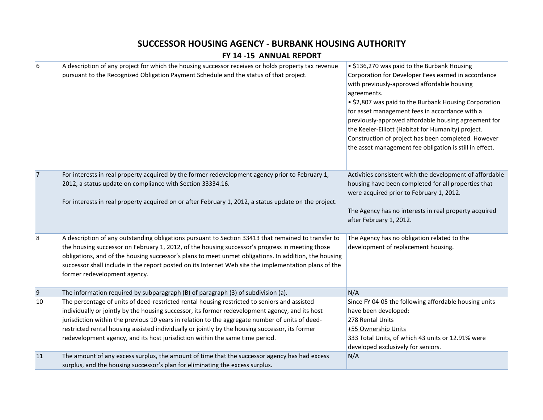## **SUCCESSOR HOUSING AGENCY - BURBANK HOUSING AUTHORITY**

#### **FY 14 -15 ANNUAL REPORT**

| $6\overline{6}$ | A description of any project for which the housing successor receives or holds property tax revenue<br>pursuant to the Recognized Obligation Payment Schedule and the status of that project.                                                                                                                                                                                                                                                                                         | • \$136,270 was paid to the Burbank Housing<br>Corporation for Developer Fees earned in accordance<br>with previously-approved affordable housing<br>agreements.<br>• \$2,807 was paid to the Burbank Housing Corporation<br>for asset management fees in accordance with a<br>previously-approved affordable housing agreement for<br>the Keeler-Elliott (Habitat for Humanity) project.<br>Construction of project has been completed. However<br>the asset management fee obligation is still in effect. |
|-----------------|---------------------------------------------------------------------------------------------------------------------------------------------------------------------------------------------------------------------------------------------------------------------------------------------------------------------------------------------------------------------------------------------------------------------------------------------------------------------------------------|-------------------------------------------------------------------------------------------------------------------------------------------------------------------------------------------------------------------------------------------------------------------------------------------------------------------------------------------------------------------------------------------------------------------------------------------------------------------------------------------------------------|
| 7               | For interests in real property acquired by the former redevelopment agency prior to February 1,<br>2012, a status update on compliance with Section 33334.16.<br>For interests in real property acquired on or after February 1, 2012, a status update on the project.                                                                                                                                                                                                                | Activities consistent with the development of affordable<br>housing have been completed for all properties that<br>were acquired prior to February 1, 2012.<br>The Agency has no interests in real property acquired<br>after February 1, 2012.                                                                                                                                                                                                                                                             |
| $\overline{8}$  | A description of any outstanding obligations pursuant to Section 33413 that remained to transfer to<br>the housing successor on February 1, 2012, of the housing successor's progress in meeting those<br>obligations, and of the housing successor's plans to meet unmet obligations. In addition, the housing<br>successor shall include in the report posted on its Internet Web site the implementation plans of the<br>former redevelopment agency.                              | The Agency has no obligation related to the<br>development of replacement housing.                                                                                                                                                                                                                                                                                                                                                                                                                          |
| 9               | The information required by subparagraph (B) of paragraph (3) of subdivision (a).                                                                                                                                                                                                                                                                                                                                                                                                     | N/A                                                                                                                                                                                                                                                                                                                                                                                                                                                                                                         |
| 10              | The percentage of units of deed-restricted rental housing restricted to seniors and assisted<br>individually or jointly by the housing successor, its former redevelopment agency, and its host<br>jurisdiction within the previous 10 years in relation to the aggregate number of units of deed-<br>restricted rental housing assisted individually or jointly by the housing successor, its former<br>redevelopment agency, and its host jurisdiction within the same time period. | Since FY 04-05 the following affordable housing units<br>have been developed:<br>278 Rental Units<br>+55 Ownership Units<br>333 Total Units, of which 43 units or 12.91% were<br>developed exclusively for seniors.                                                                                                                                                                                                                                                                                         |
| 11              | The amount of any excess surplus, the amount of time that the successor agency has had excess<br>surplus, and the housing successor's plan for eliminating the excess surplus.                                                                                                                                                                                                                                                                                                        | N/A                                                                                                                                                                                                                                                                                                                                                                                                                                                                                                         |